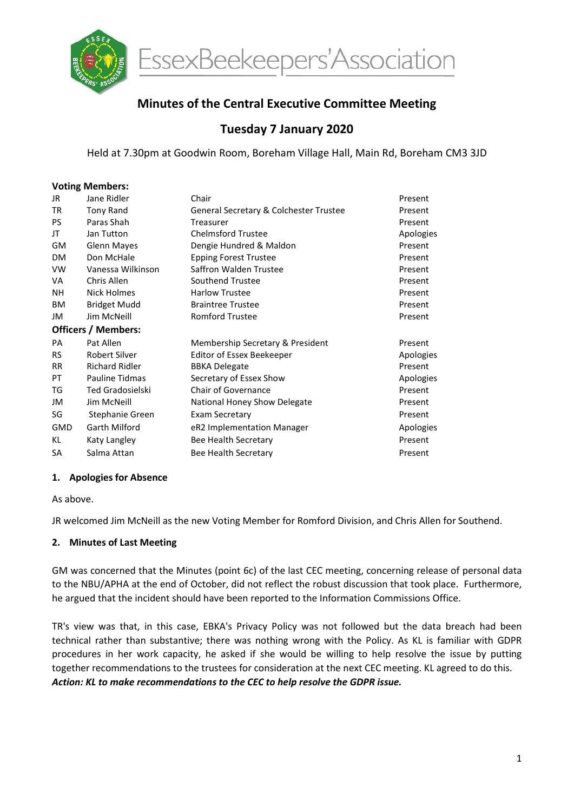

# Minutes of the Central Executive Committee Meeting

# Tuesday 7 January 2020

Held at 7.30pm at Goodwin Room, Boreham Village Hall, Main Rd, Boreham CM3 3JD

#### Voting Members:

| JR                         | Jane Ridler             | Chair                                  | Present   |  |  |  |
|----------------------------|-------------------------|----------------------------------------|-----------|--|--|--|
| <b>TR</b>                  | Tony Rand               | General Secretary & Colchester Trustee | Present   |  |  |  |
| <b>PS</b>                  | Paras Shah              | Treasurer                              | Present   |  |  |  |
| JT                         | Jan Tutton              | <b>Chelmsford Trustee</b>              | Apologies |  |  |  |
| GM                         | <b>Glenn Mayes</b>      | Dengie Hundred & Maldon                | Present   |  |  |  |
| <b>DM</b>                  | Don McHale              | <b>Epping Forest Trustee</b>           | Present   |  |  |  |
| VW                         | Vanessa Wilkinson       | Saffron Walden Trustee                 | Present   |  |  |  |
| VA                         | Chris Allen             | Southend Trustee                       | Present   |  |  |  |
| NΗ                         | Nick Holmes             | <b>Harlow Trustee</b>                  | Present   |  |  |  |
| ΒM                         | <b>Bridget Mudd</b>     | <b>Braintree Trustee</b>               | Present   |  |  |  |
| JM                         | Jim McNeill             | <b>Romford Trustee</b>                 | Present   |  |  |  |
| <b>Officers / Members:</b> |                         |                                        |           |  |  |  |
| PA                         | Pat Allen               | Membership Secretary & President       | Present   |  |  |  |
| <b>RS</b>                  | <b>Robert Silver</b>    | Editor of Essex Beekeeper              | Apologies |  |  |  |
| <b>RR</b>                  | <b>Richard Ridler</b>   | <b>BBKA Delegate</b>                   | Present   |  |  |  |
| PT                         | Pauline Tidmas          | Secretary of Essex Show                | Apologies |  |  |  |
| TG                         | <b>Ted Gradosielski</b> | Chair of Governance                    | Present   |  |  |  |
| JM                         | Jim McNeill             | National Honey Show Delegate           | Present   |  |  |  |
| SG                         | Stephanie Green         | Exam Secretary                         | Present   |  |  |  |
| GMD                        | Garth Milford           | eR2 Implementation Manager             | Apologies |  |  |  |
| KL                         | Katy Langley            | Bee Health Secretary                   | Present   |  |  |  |
| SA                         | Salma Attan             | Bee Health Secretary                   | Present   |  |  |  |

#### 1. Apologies for Absence

As above.

JR welcomed Jim McNeill as the new Voting Member for Romford Division, and Chris Allen for Southend.

#### 2. Minutes of Last Meeting

GM was concerned that the Minutes (point 6c) of the last CEC meeting, concerning release of personal data to the NBU/APHA at the end of October, did not reflect the robust discussion that took place. Furthermore, he argued that the incident should have been reported to the Information Commissions Office.

TR's view was that, in this case, EBKA's Privacy Policy was not followed but the data breach had been technical rather than substantive; there was nothing wrong with the Policy. As KL is familiar with GDPR procedures in her work capacity, he asked if she would be willing to help resolve the issue by putting together recommendations to the trustees for consideration at the next CEC meeting. KL agreed to do this. Action: KL to make recommendations to the CEC to help resolve the GDPR issue.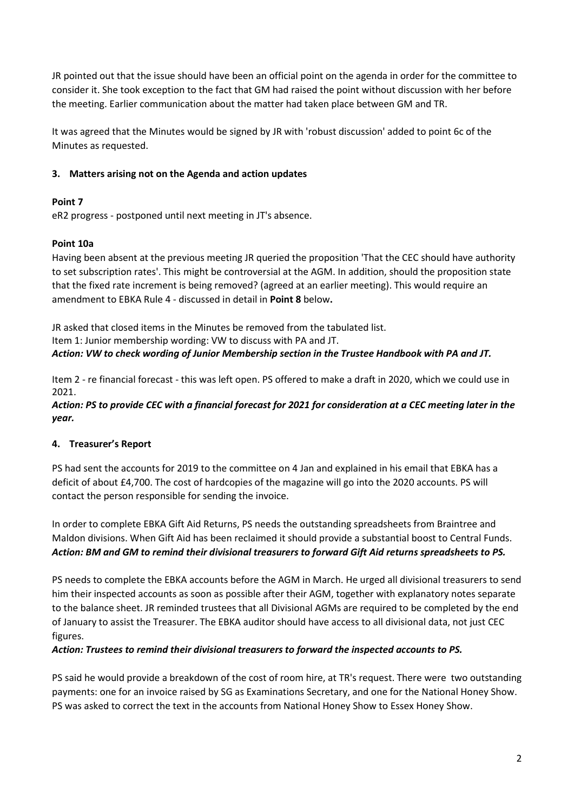JR pointed out that the issue should have been an official point on the agenda in order for the committee to consider it. She took exception to the fact that GM had raised the point without discussion with her before the meeting. Earlier communication about the matter had taken place between GM and TR.

It was agreed that the Minutes would be signed by JR with 'robust discussion' added to point 6c of the Minutes as requested.

### 3. Matters arising not on the Agenda and action updates

## Point 7

eR2 progress - postponed until next meeting in JT's absence.

## Point 10a

Having been absent at the previous meeting JR queried the proposition 'That the CEC should have authority to set subscription rates'. This might be controversial at the AGM. In addition, should the proposition state that the fixed rate increment is being removed? (agreed at an earlier meeting). This would require an amendment to EBKA Rule 4 - discussed in detail in **Point 8** below.

JR asked that closed items in the Minutes be removed from the tabulated list. Item 1: Junior membership wording: VW to discuss with PA and JT. Action: VW to check wording of Junior Membership section in the Trustee Handbook with PA and JT.

Item 2 - re financial forecast - this was left open. PS offered to make a draft in 2020, which we could use in 2021.

#### Action: PS to provide CEC with a financial forecast for 2021 for consideration at a CEC meeting later in the year.

#### 4. Treasurer's Report

PS had sent the accounts for 2019 to the committee on 4 Jan and explained in his email that EBKA has a deficit of about £4,700. The cost of hardcopies of the magazine will go into the 2020 accounts. PS will contact the person responsible for sending the invoice.

In order to complete EBKA Gift Aid Returns, PS needs the outstanding spreadsheets from Braintree and Maldon divisions. When Gift Aid has been reclaimed it should provide a substantial boost to Central Funds. Action: BM and GM to remind their divisional treasurers to forward Gift Aid returns spreadsheets to PS.

PS needs to complete the EBKA accounts before the AGM in March. He urged all divisional treasurers to send him their inspected accounts as soon as possible after their AGM, together with explanatory notes separate to the balance sheet. JR reminded trustees that all Divisional AGMs are required to be completed by the end of January to assist the Treasurer. The EBKA auditor should have access to all divisional data, not just CEC figures.

#### Action: Trustees to remind their divisional treasurers to forward the inspected accounts to PS.

PS said he would provide a breakdown of the cost of room hire, at TR's request. There were two outstanding payments: one for an invoice raised by SG as Examinations Secretary, and one for the National Honey Show. PS was asked to correct the text in the accounts from National Honey Show to Essex Honey Show.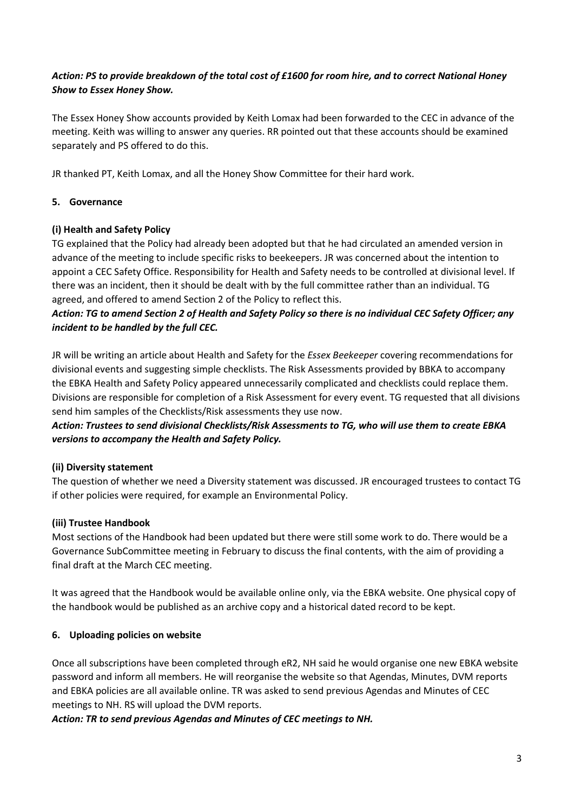## Action: PS to provide breakdown of the total cost of £1600 for room hire, and to correct National Honey Show to Essex Honey Show.

The Essex Honey Show accounts provided by Keith Lomax had been forwarded to the CEC in advance of the meeting. Keith was willing to answer any queries. RR pointed out that these accounts should be examined separately and PS offered to do this.

JR thanked PT, Keith Lomax, and all the Honey Show Committee for their hard work.

#### 5. Governance

#### (i) Health and Safety Policy

TG explained that the Policy had already been adopted but that he had circulated an amended version in advance of the meeting to include specific risks to beekeepers. JR was concerned about the intention to appoint a CEC Safety Office. Responsibility for Health and Safety needs to be controlled at divisional level. If there was an incident, then it should be dealt with by the full committee rather than an individual. TG agreed, and offered to amend Section 2 of the Policy to reflect this.

## Action: TG to amend Section 2 of Health and Safety Policy so there is no individual CEC Safety Officer; any incident to be handled by the full CEC.

JR will be writing an article about Health and Safety for the Essex Beekeeper covering recommendations for divisional events and suggesting simple checklists. The Risk Assessments provided by BBKA to accompany the EBKA Health and Safety Policy appeared unnecessarily complicated and checklists could replace them. Divisions are responsible for completion of a Risk Assessment for every event. TG requested that all divisions send him samples of the Checklists/Risk assessments they use now.

Action: Trustees to send divisional Checklists/Risk Assessments to TG, who will use them to create EBKA versions to accompany the Health and Safety Policy.

#### (ii) Diversity statement

The question of whether we need a Diversity statement was discussed. JR encouraged trustees to contact TG if other policies were required, for example an Environmental Policy.

#### (iii) Trustee Handbook

Most sections of the Handbook had been updated but there were still some work to do. There would be a Governance SubCommittee meeting in February to discuss the final contents, with the aim of providing a final draft at the March CEC meeting.

It was agreed that the Handbook would be available online only, via the EBKA website. One physical copy of the handbook would be published as an archive copy and a historical dated record to be kept.

#### 6. Uploading policies on website

Once all subscriptions have been completed through eR2, NH said he would organise one new EBKA website password and inform all members. He will reorganise the website so that Agendas, Minutes, DVM reports and EBKA policies are all available online. TR was asked to send previous Agendas and Minutes of CEC meetings to NH. RS will upload the DVM reports.

Action: TR to send previous Agendas and Minutes of CEC meetings to NH.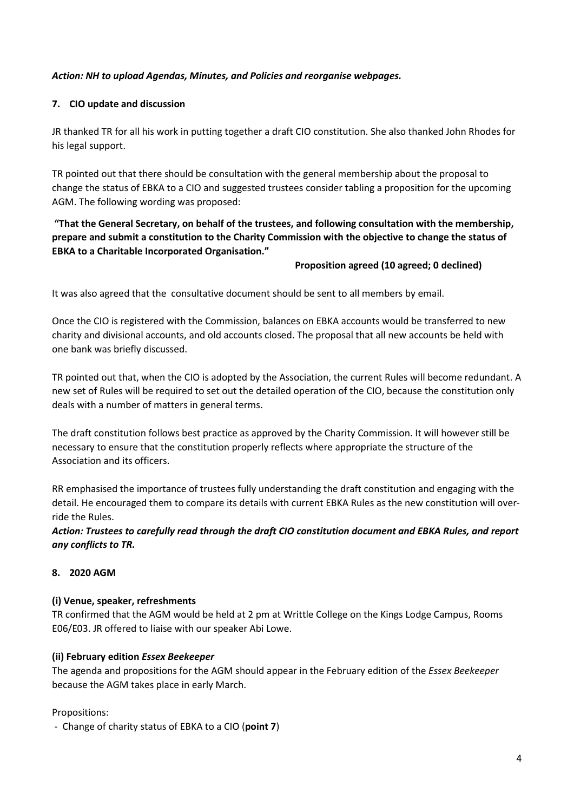## Action: NH to upload Agendas, Minutes, and Policies and reorganise webpages.

### 7. CIO update and discussion

JR thanked TR for all his work in putting together a draft CIO constitution. She also thanked John Rhodes for his legal support.

TR pointed out that there should be consultation with the general membership about the proposal to change the status of EBKA to a CIO and suggested trustees consider tabling a proposition for the upcoming AGM. The following wording was proposed:

## "That the General Secretary, on behalf of the trustees, and following consultation with the membership, prepare and submit a constitution to the Charity Commission with the objective to change the status of EBKA to a Charitable Incorporated Organisation."

#### Proposition agreed (10 agreed; 0 declined)

It was also agreed that the consultative document should be sent to all members by email.

Once the CIO is registered with the Commission, balances on EBKA accounts would be transferred to new charity and divisional accounts, and old accounts closed. The proposal that all new accounts be held with one bank was briefly discussed.

TR pointed out that, when the CIO is adopted by the Association, the current Rules will become redundant. A new set of Rules will be required to set out the detailed operation of the CIO, because the constitution only deals with a number of matters in general terms.

The draft constitution follows best practice as approved by the Charity Commission. It will however still be necessary to ensure that the constitution properly reflects where appropriate the structure of the Association and its officers.

RR emphasised the importance of trustees fully understanding the draft constitution and engaging with the detail. He encouraged them to compare its details with current EBKA Rules as the new constitution will override the Rules.

Action: Trustees to carefully read through the draft CIO constitution document and EBKA Rules, and report any conflicts to TR.

#### 8. 2020 AGM

#### (i) Venue, speaker, refreshments

TR confirmed that the AGM would be held at 2 pm at Writtle College on the Kings Lodge Campus, Rooms E06/E03. JR offered to liaise with our speaker Abi Lowe.

#### (ii) February edition Essex Beekeeper

The agenda and propositions for the AGM should appear in the February edition of the *Essex Beekeeper* because the AGM takes place in early March.

#### Propositions:

- Change of charity status of EBKA to a CIO (point 7)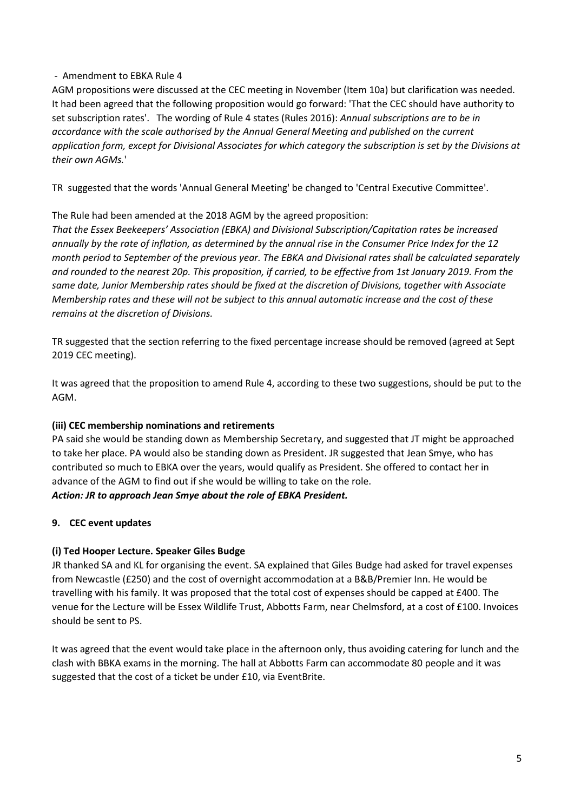### - Amendment to EBKA Rule 4

AGM propositions were discussed at the CEC meeting in November (Item 10a) but clarification was needed. It had been agreed that the following proposition would go forward: 'That the CEC should have authority to set subscription rates'. The wording of Rule 4 states (Rules 2016): Annual subscriptions are to be in accordance with the scale authorised by the Annual General Meeting and published on the current application form, except for Divisional Associates for which category the subscription is set by the Divisions at their own AGMs.'

TR suggested that the words 'Annual General Meeting' be changed to 'Central Executive Committee'.

## The Rule had been amended at the 2018 AGM by the agreed proposition:

That the Essex Beekeepers' Association (EBKA) and Divisional Subscription/Capitation rates be increased annually by the rate of inflation, as determined by the annual rise in the Consumer Price Index for the 12 month period to September of the previous year. The EBKA and Divisional rates shall be calculated separately and rounded to the nearest 20p. This proposition, if carried, to be effective from 1st January 2019. From the same date, Junior Membership rates should be fixed at the discretion of Divisions, together with Associate Membership rates and these will not be subject to this annual automatic increase and the cost of these remains at the discretion of Divisions.

TR suggested that the section referring to the fixed percentage increase should be removed (agreed at Sept 2019 CEC meeting).

It was agreed that the proposition to amend Rule 4, according to these two suggestions, should be put to the AGM.

#### (iii) CEC membership nominations and retirements

PA said she would be standing down as Membership Secretary, and suggested that JT might be approached to take her place. PA would also be standing down as President. JR suggested that Jean Smye, who has contributed so much to EBKA over the years, would qualify as President. She offered to contact her in advance of the AGM to find out if she would be willing to take on the role.

#### Action: JR to approach Jean Smye about the role of EBKA President.

## 9. CEC event updates

## (i) Ted Hooper Lecture. Speaker Giles Budge

JR thanked SA and KL for organising the event. SA explained that Giles Budge had asked for travel expenses from Newcastle (£250) and the cost of overnight accommodation at a B&B/Premier Inn. He would be travelling with his family. It was proposed that the total cost of expenses should be capped at £400. The venue for the Lecture will be Essex Wildlife Trust, Abbotts Farm, near Chelmsford, at a cost of £100. Invoices should be sent to PS.

It was agreed that the event would take place in the afternoon only, thus avoiding catering for lunch and the clash with BBKA exams in the morning. The hall at Abbotts Farm can accommodate 80 people and it was suggested that the cost of a ticket be under £10, via EventBrite.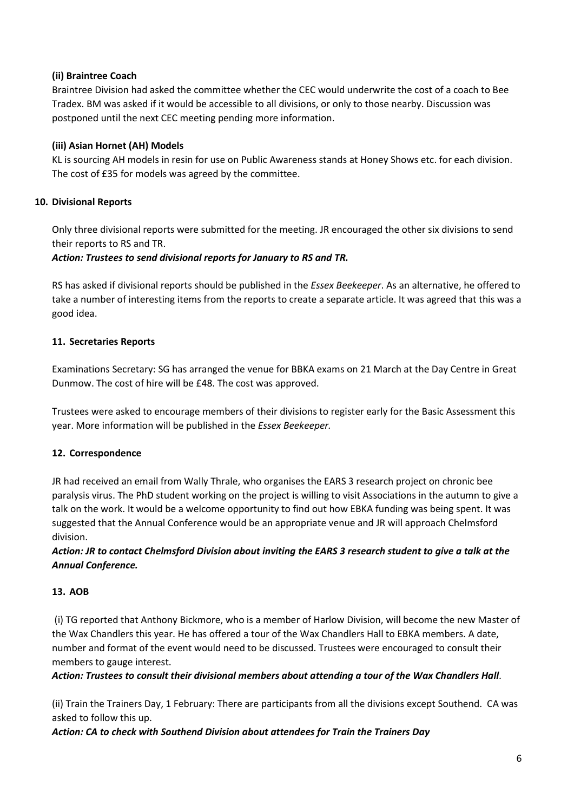## (ii) Braintree Coach

Braintree Division had asked the committee whether the CEC would underwrite the cost of a coach to Bee Tradex. BM was asked if it would be accessible to all divisions, or only to those nearby. Discussion was postponed until the next CEC meeting pending more information.

## (iii) Asian Hornet (AH) Models

KL is sourcing AH models in resin for use on Public Awareness stands at Honey Shows etc. for each division. The cost of £35 for models was agreed by the committee.

## 10. Divisional Reports

Only three divisional reports were submitted for the meeting. JR encouraged the other six divisions to send their reports to RS and TR.

## Action: Trustees to send divisional reports for January to RS and TR.

RS has asked if divisional reports should be published in the *Essex Beekeeper*. As an alternative, he offered to take a number of interesting items from the reports to create a separate article. It was agreed that this was a good idea.

## 11. Secretaries Reports

Examinations Secretary: SG has arranged the venue for BBKA exams on 21 March at the Day Centre in Great Dunmow. The cost of hire will be £48. The cost was approved.

Trustees were asked to encourage members of their divisions to register early for the Basic Assessment this year. More information will be published in the Essex Beekeeper.

## 12. Correspondence

JR had received an email from Wally Thrale, who organises the EARS 3 research project on chronic bee paralysis virus. The PhD student working on the project is willing to visit Associations in the autumn to give a talk on the work. It would be a welcome opportunity to find out how EBKA funding was being spent. It was suggested that the Annual Conference would be an appropriate venue and JR will approach Chelmsford division.

## Action: JR to contact Chelmsford Division about inviting the EARS 3 research student to give a talk at the Annual Conference.

## 13. AOB

 (i) TG reported that Anthony Bickmore, who is a member of Harlow Division, will become the new Master of the Wax Chandlers this year. He has offered a tour of the Wax Chandlers Hall to EBKA members. A date, number and format of the event would need to be discussed. Trustees were encouraged to consult their members to gauge interest.

## Action: Trustees to consult their divisional members about attending a tour of the Wax Chandlers Hall.

(ii) Train the Trainers Day, 1 February: There are participants from all the divisions except Southend. CA was asked to follow this up.

#### Action: CA to check with Southend Division about attendees for Train the Trainers Day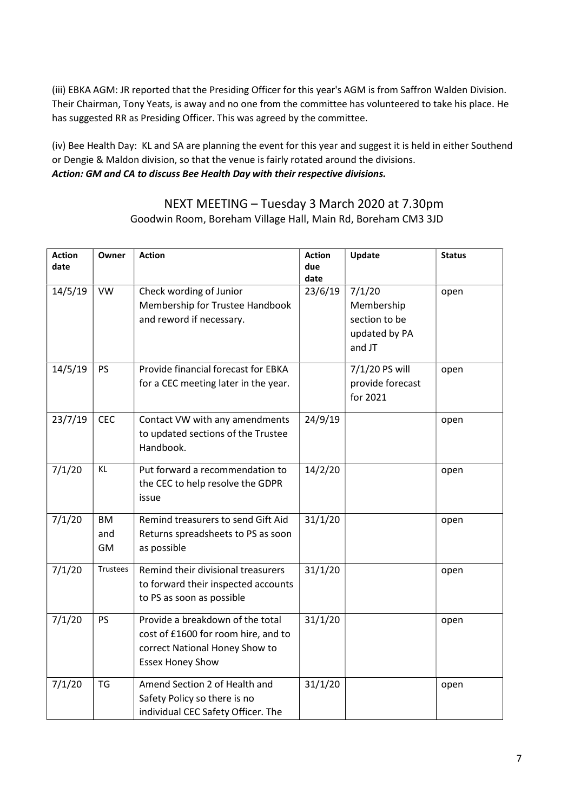(iii) EBKA AGM: JR reported that the Presiding Officer for this year's AGM is from Saffron Walden Division. Their Chairman, Tony Yeats, is away and no one from the committee has volunteered to take his place. He has suggested RR as Presiding Officer. This was agreed by the committee.

(iv) Bee Health Day: KL and SA are planning the event for this year and suggest it is held in either Southend or Dengie & Maldon division, so that the venue is fairly rotated around the divisions. Action: GM and CA to discuss Bee Health Day with their respective divisions.

## NEXT MEETING – Tuesday 3 March 2020 at 7.30pm Goodwin Room, Boreham Village Hall, Main Rd, Boreham CM3 3JD

| <b>Action</b><br>date | Owner           | <b>Action</b>                        | <b>Action</b><br>due | Update           | <b>Status</b> |
|-----------------------|-----------------|--------------------------------------|----------------------|------------------|---------------|
|                       |                 |                                      | date                 |                  |               |
| 14/5/19               | <b>VW</b>       | Check wording of Junior              | 23/6/19              | 7/1/20           | open          |
|                       |                 | Membership for Trustee Handbook      |                      | Membership       |               |
|                       |                 | and reword if necessary.             |                      | section to be    |               |
|                       |                 |                                      |                      | updated by PA    |               |
|                       |                 |                                      |                      | and JT           |               |
| 14/5/19               | <b>PS</b>       | Provide financial forecast for EBKA  |                      | 7/1/20 PS will   | open          |
|                       |                 | for a CEC meeting later in the year. |                      | provide forecast |               |
|                       |                 |                                      |                      | for 2021         |               |
| 23/7/19               | <b>CEC</b>      | Contact VW with any amendments       | 24/9/19              |                  | open          |
|                       |                 | to updated sections of the Trustee   |                      |                  |               |
|                       |                 | Handbook.                            |                      |                  |               |
| 7/1/20                | KL              | Put forward a recommendation to      | 14/2/20              |                  | open          |
|                       |                 | the CEC to help resolve the GDPR     |                      |                  |               |
|                       |                 | issue                                |                      |                  |               |
| 7/1/20                | <b>BM</b>       | Remind treasurers to send Gift Aid   | 31/1/20              |                  | open          |
|                       | and             | Returns spreadsheets to PS as soon   |                      |                  |               |
|                       | GM              | as possible                          |                      |                  |               |
| 7/1/20                | <b>Trustees</b> | Remind their divisional treasurers   | 31/1/20              |                  | open          |
|                       |                 | to forward their inspected accounts  |                      |                  |               |
|                       |                 | to PS as soon as possible            |                      |                  |               |
| 7/1/20                | <b>PS</b>       | Provide a breakdown of the total     | 31/1/20              |                  | open          |
|                       |                 | cost of £1600 for room hire, and to  |                      |                  |               |
|                       |                 | correct National Honey Show to       |                      |                  |               |
|                       |                 | <b>Essex Honey Show</b>              |                      |                  |               |
| 7/1/20                | <b>TG</b>       | Amend Section 2 of Health and        | 31/1/20              |                  | open          |
|                       |                 | Safety Policy so there is no         |                      |                  |               |
|                       |                 | individual CEC Safety Officer. The   |                      |                  |               |